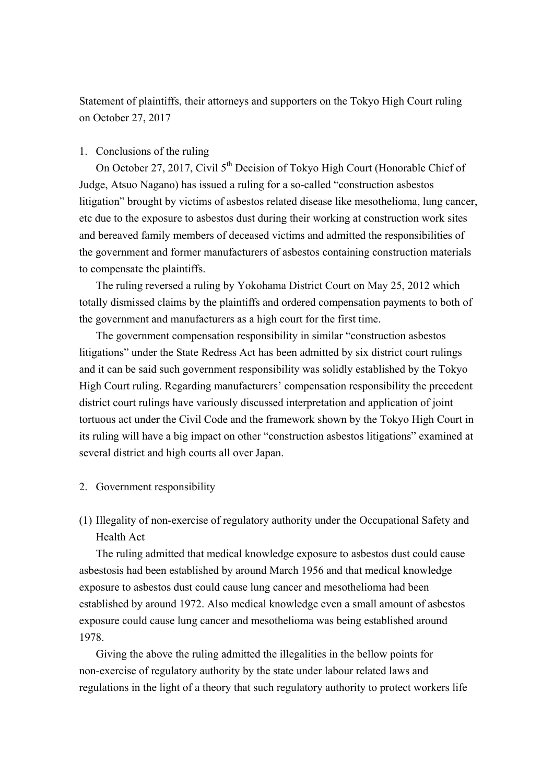Statement of plaintiffs, their attorneys and supporters on the Tokyo High Court ruling on October 27, 2017

# 1. Conclusions of the ruling

On October 27, 2017, Civil  $5<sup>th</sup>$  Decision of Tokyo High Court (Honorable Chief of Judge, Atsuo Nagano) has issued a ruling for a so-called "construction asbestos litigation" brought by victims of asbestos related disease like mesothelioma, lung cancer, etc due to the exposure to asbestos dust during their working at construction work sites and bereaved family members of deceased victims and admitted the responsibilities of the government and former manufacturers of asbestos containing construction materials to compensate the plaintiffs.

The ruling reversed a ruling by Yokohama District Court on May 25, 2012 which totally dismissed claims by the plaintiffs and ordered compensation payments to both of the government and manufacturers as a high court for the first time.

The government compensation responsibility in similar "construction asbestos litigations" under the State Redress Act has been admitted by six district court rulings and it can be said such government responsibility was solidly established by the Tokyo High Court ruling. Regarding manufacturers' compensation responsibility the precedent district court rulings have variously discussed interpretation and application of joint tortuous act under the Civil Code and the framework shown by the Tokyo High Court in its ruling will have a big impact on other "construction asbestos litigations" examined at several district and high courts all over Japan.

## 2. Government responsibility

(1) Illegality of non-exercise of regulatory authority under the Occupational Safety and Health Act

The ruling admitted that medical knowledge exposure to asbestos dust could cause asbestosis had been established by around March 1956 and that medical knowledge exposure to asbestos dust could cause lung cancer and mesothelioma had been established by around 1972. Also medical knowledge even a small amount of asbestos exposure could cause lung cancer and mesothelioma was being established around 1978.

Giving the above the ruling admitted the illegalities in the bellow points for non-exercise of regulatory authority by the state under labour related laws and regulations in the light of a theory that such regulatory authority to protect workers life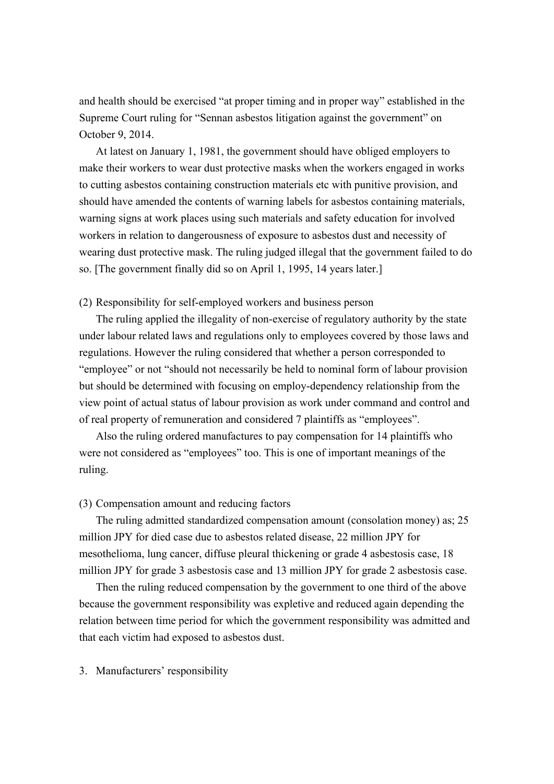and health should be exercised "at proper timing and in proper way" established in the Supreme Court ruling for "Sennan asbestos litigation against the government" on October 9, 2014.

At latest on January 1, 1981, the government should have obliged employers to make their workers to wear dust protective masks when the workers engaged in works to cutting asbestos containing construction materials etc with punitive provision, and should have amended the contents of warning labels for asbestos containing materials, warning signs at work places using such materials and safety education for involved workers in relation to dangerousness of exposure to asbestos dust and necessity of wearing dust protective mask. The ruling judged illegal that the government failed to do so. [The government finally did so on April 1, 1995, 14 years later.]

# (2) Responsibility for self-employed workers and business person

The ruling applied the illegality of non-exercise of regulatory authority by the state under labour related laws and regulations only to employees covered by those laws and regulations. However the ruling considered that whether a person corresponded to "employee" or not "should not necessarily be held to nominal form of labour provision but should be determined with focusing on employ-dependency relationship from the view point of actual status of labour provision as work under command and control and of real property of remuneration and considered 7 plaintiffs as "employees".

Also the ruling ordered manufactures to pay compensation for 14 plaintiffs who were not considered as "employees" too. This is one of important meanings of the ruling.

# (3) Compensation amount and reducing factors

The ruling admitted standardized compensation amount (consolation money) as; 25 million JPY for died case due to asbestos related disease, 22 million JPY for mesothelioma, lung cancer, diffuse pleural thickening or grade 4 asbestosis case, 18 million JPY for grade 3 asbestosis case and 13 million JPY for grade 2 asbestosis case.

Then the ruling reduced compensation by the government to one third of the above because the government responsibility was expletive and reduced again depending the relation between time period for which the government responsibility was admitted and that each victim had exposed to asbestos dust.

#### 3. Manufacturers' responsibility